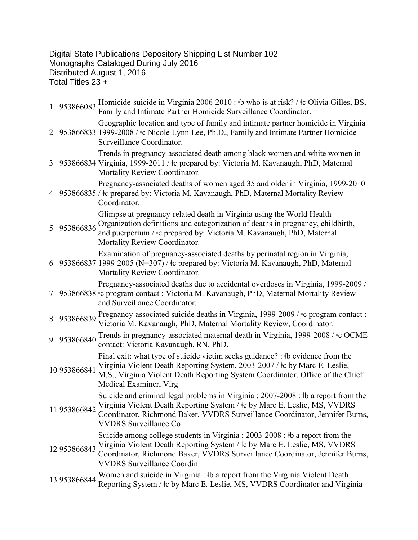Digital State Publications Depository Shipping List Number 102 Monographs Cataloged During July 2016 Distributed August 1, 2016 Total Titles 23 +

1 953866083 Homicide-suicide in Virginia 2006-2010 : ǂb who is at risk? / ǂc Olivia Gilles, BS, Family and Intimate Partner Homicide Surveillance Coordinator. 2 953866833 1999-2008 /  $\pm$ c Nicole Lynn Lee, Ph.D., Family and Intimate Partner Homicide Geographic location and type of family and intimate partner homicide in Virginia Surveillance Coordinator. 3 953866834 Virginia, 1999-2011 / ǂc prepared by: Victoria M. Kavanaugh, PhD, Maternal Trends in pregnancy-associated death among black women and white women in Mortality Review Coordinator. 4 953866835 / ǂc prepared by: Victoria M. Kavanaugh, PhD, Maternal Mortality Review Pregnancy-associated deaths of women aged 35 and older in Virginia, 1999-2010 Coordinator. 5 953866836 Organization definitions and categorization of deaths in pregnancy, childbirth, Glimpse at pregnancy-related death in Virginia using the World Health and puerperium /  $\pm c$  prepared by: Victoria M. Kavanaugh, PhD, Maternal Mortality Review Coordinator. 6 953866837 1999-2005 (N=307) / ǂc prepared by: Victoria M. Kavanaugh, PhD, Maternal Examination of pregnancy-associated deaths by perinatal region in Virginia, Mortality Review Coordinator. 7 953866838 ǂc program contact : Victoria M. Kavanaugh, PhD, Maternal Mortality Review Pregnancy-associated deaths due to accidental overdoses in Virginia, 1999-2009 / and Surveillance Coordinator. 8 953866839 Pregnancy-associated suicide deaths in Virginia, 1999-2009 /  $\pm$ c program contact : Victoria M. Kavanaugh, PhD, Maternal Mortality Review, Coordinator. 9 953866840 Trends in pregnancy-associated maternal death in Virginia, 1999-2008 / ǂc OCME contact: Victoria Kavanaugh, RN, PhD. 10 953866841 Final exit: what type of suicide victim seeks guidance? : ‡b evidence from the Virginia Violent Death Reporting System, 2003-2007 / ǂc by Marc E. Leslie, M.S., Virginia Violent Death Reporting System Coordinator. Office of the Chief Medical Examiner, Virg 11 953866842 Suicide and criminal legal problems in Virginia : 2007-2008 : ǂb a report from the Virginia Violent Death Reporting System / ǂc by Marc E. Leslie, MS, VVDRS Coordinator, Richmond Baker, VVDRS Surveillance Coordinator, Jennifer Burns, VVDRS Surveillance Co 12 953866843 Virginia Violent Death Reporting System / ǂc by Marc E. Leslie, MS, VVDRS Suicide among college students in Virginia : 2003-2008 : ǂb a report from the Coordinator, Richmond Baker, VVDRS Surveillance Coordinator, Jennifer Burns, VVDRS Surveillance Coordin 13 953866844 Women and suicide in Virginia :  $\frac{1}{2}$  b a report from the Virginia Violent Death Reporting System /  $\pm c$  by Marc E. Leslie, MS, VVDRS Coordinator and Virginia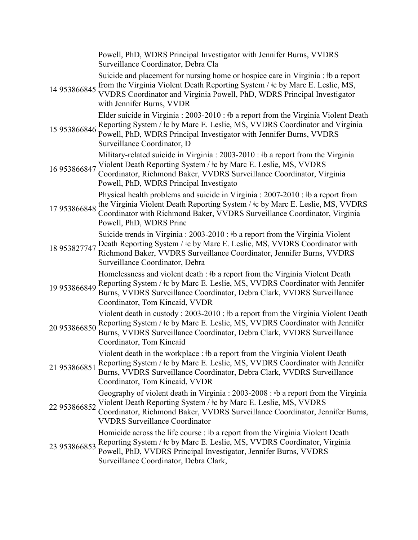|              | Powell, PhD, WDRS Principal Investigator with Jennifer Burns, VVDRS<br>Surveillance Coordinator, Debra Cla                                                                                                                                                                           |
|--------------|--------------------------------------------------------------------------------------------------------------------------------------------------------------------------------------------------------------------------------------------------------------------------------------|
| 14 953866845 | Suicide and placement for nursing home or hospice care in Virginia : #b a report<br>from the Virginia Violent Death Reporting System / ‡c by Marc E. Leslie, MS,<br>VVDRS Coordinator and Virginia Powell, PhD, WDRS Principal Investigator<br>with Jennifer Burns, VVDR             |
| 15 953866846 | Elder suicide in Virginia : 2003-2010 : #b a report from the Virginia Violent Death<br>Reporting System / $\pm$ c by Marc E. Leslie, MS, VVDRS Coordinator and Virginia<br>Powell, PhD, WDRS Principal Investigator with Jennifer Burns, VVDRS<br>Surveillance Coordinator, D        |
| 16 953866847 | Military-related suicide in Virginia : 2003-2010 : #b a report from the Virginia<br>Violent Death Reporting System / $\pm c$ by Marc E. Leslie, MS, VVDRS<br>Coordinator, Richmond Baker, VVDRS Surveillance Coordinator, Virginia<br>Powell, PhD, WDRS Principal Investigato        |
| 17953866848  | Physical health problems and suicide in Virginia : $2007-2010$ : #b a report from<br>the Virginia Violent Death Reporting System / $\pm c$ by Marc E. Leslie, MS, VVDRS<br>Coordinator with Richmond Baker, VVDRS Surveillance Coordinator, Virginia<br>Powell, PhD, WDRS Princ      |
| 18 953827747 | Suicide trends in Virginia: 2003-2010: #b a report from the Virginia Violent<br>Death Reporting System / $\pm c$ by Marc E. Leslie, MS, VVDRS Coordinator with<br>Richmond Baker, VVDRS Surveillance Coordinator, Jennifer Burns, VVDRS<br>Surveillance Coordinator, Debra           |
| 19 953866849 | Homelessness and violent death : #b a report from the Virginia Violent Death<br>Reporting System / $\pm c$ by Marc E. Leslie, MS, VVDRS Coordinator with Jennifer<br>Burns, VVDRS Surveillance Coordinator, Debra Clark, VVDRS Surveillance<br>Coordinator, Tom Kincaid, VVDR        |
| 20 953866850 | Violent death in custody: 2003-2010: #b a report from the Virginia Violent Death<br>Reporting System / $\pm$ c by Marc E. Leslie, MS, VVDRS Coordinator with Jennifer<br>Burns, VVDRS Surveillance Coordinator, Debra Clark, VVDRS Surveillance<br>Coordinator, Tom Kincaid          |
| 21 953866851 | Violent death in the workplace : #b a report from the Virginia Violent Death<br>Reporting System / $\pm$ c by Marc E. Leslie, MS, VVDRS Coordinator with Jennifer<br>Burns, VVDRS Surveillance Coordinator, Debra Clark, VVDRS Surveillance<br>Coordinator, Tom Kincaid, VVDR        |
| 22 953866852 | Geography of violent death in Virginia : 2003-2008 : #b a report from the Virginia<br>Violent Death Reporting System / $\pm c$ by Marc E. Leslie, MS, VVDRS<br>Coordinator, Richmond Baker, VVDRS Surveillance Coordinator, Jennifer Burns,<br><b>VVDRS Surveillance Coordinator</b> |
| 23 953866853 | Homicide across the life course : #b a report from the Virginia Violent Death<br>Reporting System / $\pm$ c by Marc E. Leslie, MS, VVDRS Coordinator, Virginia<br>Powell, PhD, VVDRS Principal Investigator, Jennifer Burns, VVDRS<br>Surveillance Coordinator, Debra Clark,         |